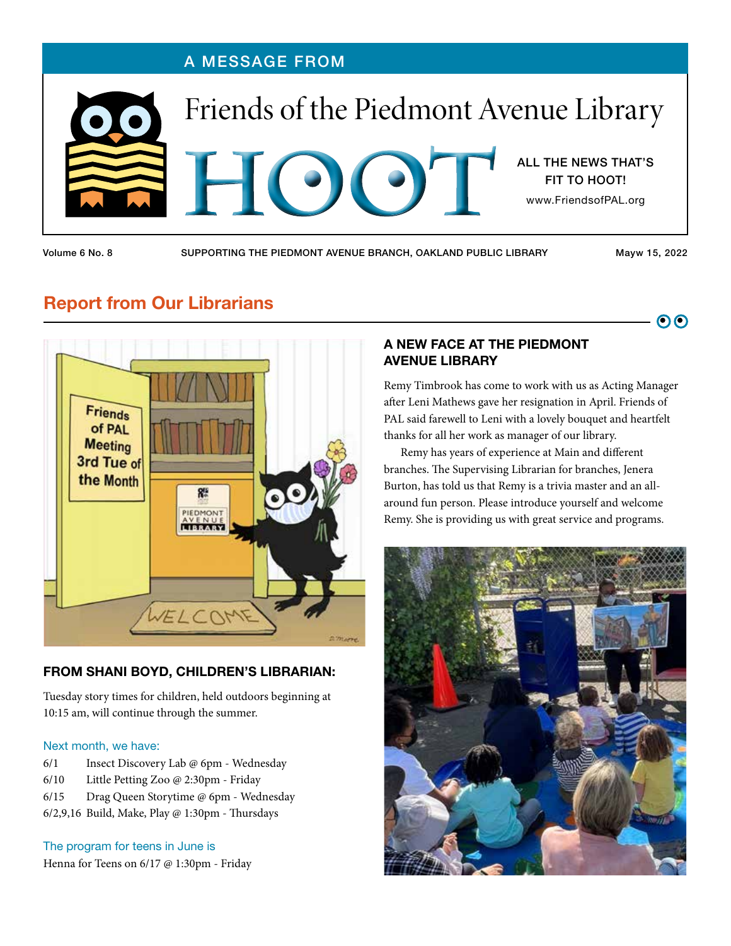

Volume 6 No. 8 SUPPORTING THE PIEDMONT AVENUE BRANCH, OAKLAND PUBLIC LIBRARY Mayw 15, 2022

 $\overline{\mathbf{O}}$ 

# Report from Our Librarians



#### FROM SHANI BOYD, CHILDREN'S LIBRARIAN:

Tuesday story times for children, held outdoors beginning at 10:15 am, will continue through the summer.

#### Next month, we have:

- 6/1 Insect Discovery Lab @ 6pm Wednesday
- 6/10 Little Petting Zoo @ 2:30pm Friday
- 6/15 Drag Queen Storytime @ 6pm Wednesday
- 6/2,9,16 Build, Make, Play @ 1:30pm Thursdays

#### The program for teens in June is

Henna for Teens on 6/17 @ 1:30pm - Friday

#### A NEW FACE AT THE PIEDMONT AVENUE LIBRARY

Remy Timbrook has come to work with us as Acting Manager after Leni Mathews gave her resignation in April. Friends of PAL said farewell to Leni with a lovely bouquet and heartfelt thanks for all her work as manager of our library.

Remy has years of experience at Main and different branches. The Supervising Librarian for branches, Jenera Burton, has told us that Remy is a trivia master and an allaround fun person. Please introduce yourself and welcome Remy. She is providing us with great service and programs.

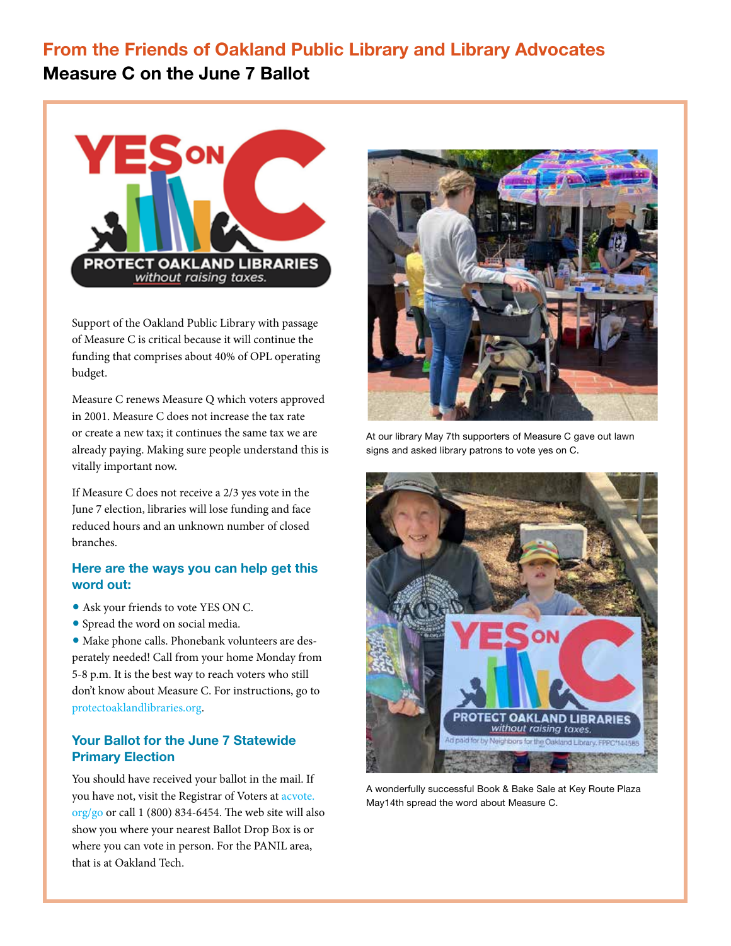## From the Friends of Oakland Public Library and Library Advocates Measure C on the June 7 Ballot



Support of the Oakland Public Library with passage of Measure C is critical because it will continue the funding that comprises about 40% of OPL operating budget.

Measure C renews Measure Q which voters approved in 2001. Measure C does not increase the tax rate or create a new tax; it continues the same tax we are already paying. Making sure people understand this is vitally important now.

If Measure C does not receive a 2/3 yes vote in the June 7 election, libraries will lose funding and face reduced hours and an unknown number of closed branches.

#### Here are the ways you can help get this word out:

- Ask your friends to vote YES ON C.
- Spread the word on social media.

• Make phone calls. Phonebank volunteers are desperately needed! Call from your home Monday from 5-8 p.m. It is the best way to reach voters who still don't know about Measure C. For instructions, go to protectoaklandlibraries.org.

#### Your Ballot for the June 7 Statewide Primary Election

You should have received your ballot in the mail. If you have not, visit the Registrar of Voters at acvote. org/go or call 1 (800) 834-6454. The web site will also show you where your nearest Ballot Drop Box is or where you can vote in person. For the PANIL area, that is at Oakland Tech.



At our library May 7th supporters of Measure C gave out lawn signs and asked library patrons to vote yes on C.



A wonderfully successful Book & Bake Sale at Key Route Plaza May14th spread the word about Measure C.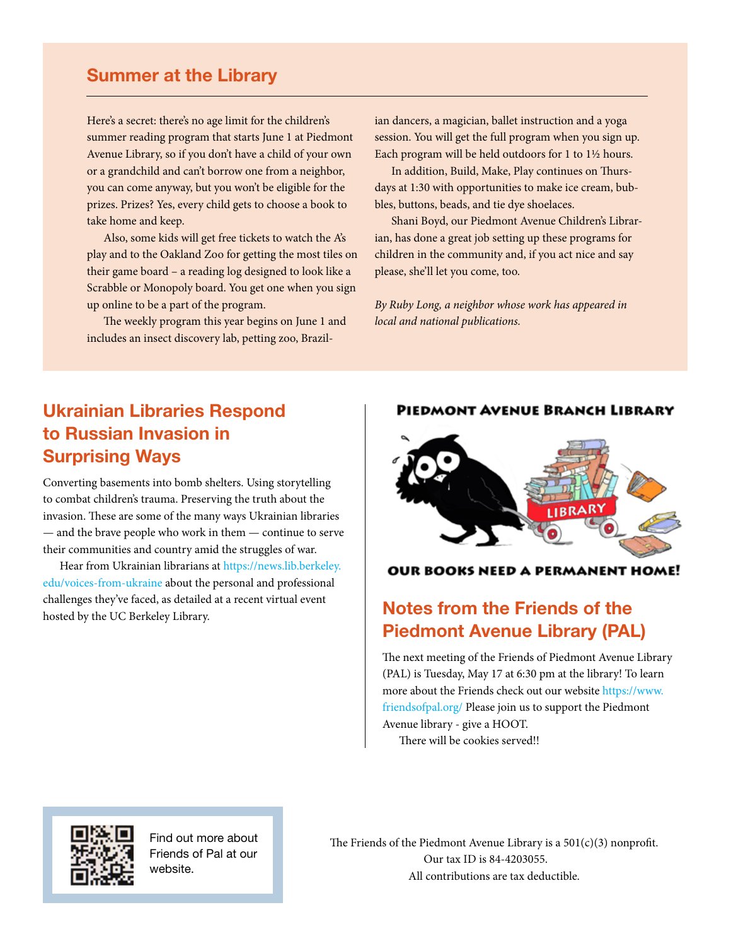### Summer at the Library

Here's a secret: there's no age limit for the children's summer reading program that starts June 1 at Piedmont Avenue Library, so if you don't have a child of your own or a grandchild and can't borrow one from a neighbor, you can come anyway, but you won't be eligible for the prizes. Prizes? Yes, every child gets to choose a book to take home and keep.

Also, some kids will get free tickets to watch the A's play and to the Oakland Zoo for getting the most tiles on their game board – a reading log designed to look like a Scrabble or Monopoly board. You get one when you sign up online to be a part of the program.

The weekly program this year begins on June 1 and includes an insect discovery lab, petting zoo, Brazilian dancers, a magician, ballet instruction and a yoga session. You will get the full program when you sign up. Each program will be held outdoors for 1 to 1½ hours.

In addition, Build, Make, Play continues on Thursdays at 1:30 with opportunities to make ice cream, bubbles, buttons, beads, and tie dye shoelaces.

Shani Boyd, our Piedmont Avenue Children's Librarian, has done a great job setting up these programs for children in the community and, if you act nice and say please, she'll let you come, too.

*By Ruby Long, a neighbor whose work has appeared in local and national publications.*

## Ukrainian Libraries Respond to Russian Invasion in Surprising Ways

Converting basements into bomb shelters. Using storytelling to combat children's trauma. Preserving the truth about the invasion. These are some of the many ways Ukrainian libraries — and the brave people who work in them — continue to serve their communities and country amid the struggles of war.

Hear from Ukrainian librarians at https://news.lib.berkeley. edu/voices-from-ukraine about the personal and professional challenges they've faced, as detailed at a recent virtual event thandingly the UC Berkeley Library.<br>hosted by the UC Berkeley Library.

#### **PIEDMONT AVENUE BRANCH LIBRARY**



**OUR BOOKS NEED A PERMANENT HOME!** 

# Piedmont Avenue Library (PAL)

The next meeting of the Friends of Piedmont Avenue Library (PAL) is Tuesday, May 17 at 6:30 pm at the library! To learn more about the Friends check out our website https://www. friendsofpal.org/ Please join us to support the Piedmont Avenue library - give a HOOT.

There will be cookies served!!



Find out more about Friends of Pal at our website.

The Friends of the Piedmont Avenue Library is a  $501(c)(3)$  nonprofit. Our tax ID is 84-4203055. All contributions are tax deductible.